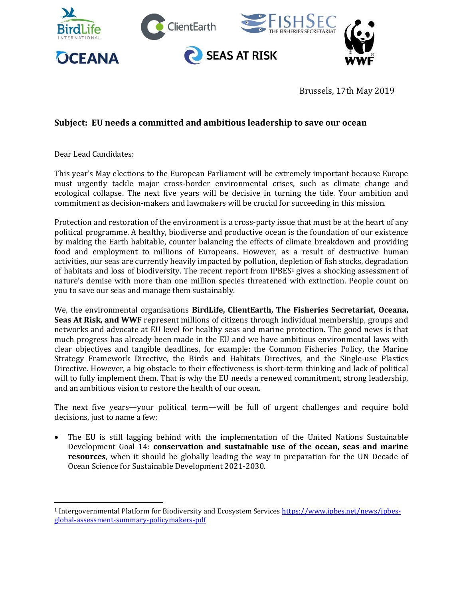

Brussels, 17th May 2019

## **Subject: EU needs a committed and ambitious leadership to save our ocean**

Dear Lead Candidates:

l

This year's May elections to the European Parliament will be extremely important because Europe must urgently tackle major cross-border environmental crises, such as climate change and ecological collapse. The next five years will be decisive in turning the tide. Your ambition and commitment as decision-makers and lawmakers will be crucial for succeeding in this mission.

Protection and restoration of the environment is a cross-party issue that must be at the heart of any political programme. A healthy, biodiverse and productive ocean is the foundation of our existence by making the Earth habitable, counter balancing the effects of climate breakdown and providing food and employment to millions of Europeans. However, as a result of destructive human activities, our seas are currently heavily impacted by pollution, depletion of fish stocks, degradation of habitats and loss of biodiversity. The recent report from IPBES<sup>1</sup> gives a shocking assessment of nature's demise with more than one million species threatened with extinction. People count on you to save our seas and manage them sustainably.

We, the environmental organisations **BirdLife, ClientEarth, The Fisheries Secretariat, Oceana, Seas At Risk, and WWF** represent millions of citizens through individual membership, groups and networks and advocate at EU level for healthy seas and marine protection. The good news is that much progress has already been made in the EU and we have ambitious environmental laws with clear objectives and tangible deadlines, for example: the Common Fisheries Policy, the Marine Strategy Framework Directive, the Birds and Habitats Directives, and the Single-use Plastics Directive. However, a big obstacle to their effectiveness is short-term thinking and lack of political will to fully implement them. That is why the EU needs a renewed commitment, strong leadership, and an ambitious vision to restore the health of our ocean.

The next five years—your political term—will be full of urgent challenges and require bold decisions, just to name a few:

 The EU is still lagging behind with the implementation of the United Nations Sustainable Development Goal 14: **conservation and sustainable use of the ocean, seas and marine resources**, when it should be globally leading the way in preparation for the UN Decade of Ocean Science for Sustainable Development 2021-2030.

<sup>1</sup> Intergovernmental Platform for Biodiversity and Ecosystem Services [https://www.ipbes.net/news/ipbes](https://www.ipbes.net/news/ipbes-global-assessment-summary-policymakers-pdf)[global-assessment-summary-policymakers-pdf](https://www.ipbes.net/news/ipbes-global-assessment-summary-policymakers-pdf)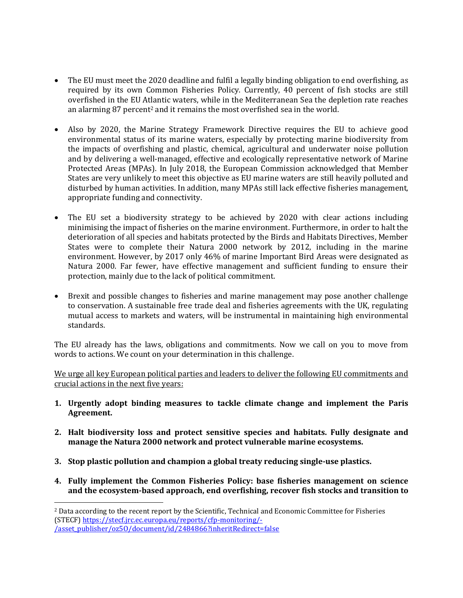- The EU must meet the 2020 deadline and fulfil a legally binding obligation to end overfishing, as required by its own Common Fisheries Policy. Currently, 40 percent of fish stocks are still overfished in the EU Atlantic waters, while in the Mediterranean Sea the depletion rate reaches an alarming 87 percent<sup>2</sup> and it remains the most overfished sea in the world.
- Also by 2020, the Marine Strategy Framework Directive requires the EU to achieve good environmental status of its marine waters, especially by protecting marine biodiversity from the impacts of overfishing and plastic, chemical, agricultural and underwater noise pollution and by delivering a well-managed, effective and ecologically representative network of Marine Protected Areas (MPAs). In July 2018, the European Commission acknowledged that Member States are very unlikely to meet this objective as EU marine waters are still heavily polluted and disturbed by human activities. In addition, many MPAs still lack effective fisheries management, appropriate funding and connectivity.
- The EU set a biodiversity strategy to be achieved by 2020 with clear actions including minimising the impact of fisheries on the marine environment. Furthermore, in order to halt the deterioration of all species and habitats protected by the Birds and Habitats Directives, Member States were to complete their Natura 2000 network by 2012, including in the marine environment. However, by 2017 only 46% of marine Important Bird Areas were designated as Natura 2000. Far fewer, have effective management and sufficient funding to ensure their protection, mainly due to the lack of political commitment.
- Brexit and possible changes to fisheries and marine management may pose another challenge to conservation. A sustainable free trade deal and fisheries agreements with the UK, regulating mutual access to markets and waters, will be instrumental in maintaining high environmental standards.

The EU already has the laws, obligations and commitments. Now we call on you to move from words to actions. We count on your determination in this challenge.

We urge all key European political parties and leaders to deliver the following EU commitments and crucial actions in the next five years:

- **1. Urgently adopt binding measures to tackle climate change and implement the Paris Agreement.**
- **2. Halt biodiversity loss and protect sensitive species and habitats. Fully designate and manage the Natura 2000 network and protect vulnerable marine ecosystems.**
- **3. Stop plastic pollution and champion a global treaty reducing single-use plastics.**

l

**4. Fully implement the Common Fisheries Policy: base fisheries management on science and the ecosystem-based approach, end overfishing, recover fish stocks and transition to** 

<sup>2</sup> Data according to the recent report by the Scientific, Technical and Economic Committee for Fisheries (STECF[\) https://stecf.jrc.ec.europa.eu/reports/cfp-monitoring/-](https://stecf.jrc.ec.europa.eu/reports/cfp-monitoring/-/asset_publisher/oz5O/document/id/2484866?inheritRedirect=false) [/asset\\_publisher/oz5O/document/id/2484866?inheritRedirect=false](https://stecf.jrc.ec.europa.eu/reports/cfp-monitoring/-/asset_publisher/oz5O/document/id/2484866?inheritRedirect=false)